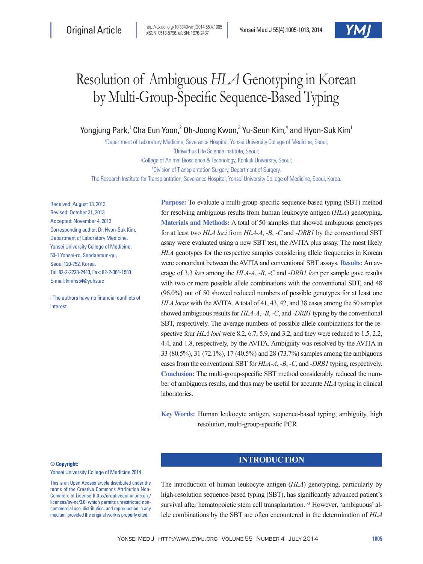# Resolution of Ambiguous *HLA* Genotyping in Korean by Multi-Group-Specific Sequence-Based Typing

# Yongjung Park,<sup>1</sup> Cha Eun Yoon,<sup>2</sup> Oh-Joong Kwon,<sup>3</sup> Yu-Seun Kim,<sup>4</sup> and Hyon-Suk Kim<sup>1</sup>

 Department of Laboratory Medicine, Severance Hospital, Yonsei University College of Medicine, Seoul; Biowithus Life Science Institute, Seoul; College of Animal Bioscience & Technology, Konkuk University, Seoul; Division of Transplantation Surgery, Department of Surgery,

The Research Institute for Transplantation, Severance Hospital, Yonsei University College of Medicine, Seoul, Korea.

Received: August 13, 2013 Revised: October 31, 2013 Accepted: November 4, 2013 Corresponding author: Dr. Hyon-Suk Kim, Department of Laboratory Medicine, Yonsei University College of Medicine, 50-1 Yonsei-ro, Seodaemun-gu, Seoul 120-752, Korea. Tel: 82-2-2228-2443, Fax: 82-2-364-1583 E-mail: kimhs54@yuhs.ac

∙ The authors have no financial conflicts of interest.

**Purpose:** To evaluate a multi-group-specific sequence-based typing (SBT) method for resolving ambiguous results from human leukocyte antigen (*HLA*) genotyping. **Materials and Methods:** A total of 50 samples that showed ambiguous genotypes for at least two *HLA loci* from *HLA-A*, *-B*, *-C* and *-DRB1* by the conventional SBT assay were evaluated using a new SBT test, the AVITA plus assay. The most likely *HLA* genotypes for the respective samples considering allele frequencies in Korean were concordant between the AVITA and conventional SBT assays. **Results:** An average of 3.3 *loci* among the *HLA-A*, *-B*, *-C* and *-DRB1 loci* per sample gave results with two or more possible allele combinations with the conventional SBT, and 48 (96.0%) out of 50 showed reduced numbers of possible genotypes for at least one *HLA locus* with the AVITA. A total of 41, 43, 42, and 38 cases among the 50 samples showed ambiguous results for *HLA-A*, *-B*, *-C*, and *-DRB1* typing by the conventional SBT, respectively. The average numbers of possible allele combinations for the respective four *HLA loci* were 8.2, 6.7, 5.9, and 3.2, and they were reduced to 1.5, 2.2, 4.4, and 1.8, respectively, by the AVITA. Ambiguity was resolved by the AVITA in 33 (80.5%), 31 (72.1%), 17 (40.5%) and 28 (73.7%) samples among the ambiguous cases from the conventional SBT for *HLA-A*, *-B*, *-C*, and *-DRB1* typing, respectively. **Conclusion:** The multi-group-specific SBT method considerably reduced the number of ambiguous results, and thus may be useful for accurate *HLA* typing in clinical laboratories.

**Key Words:** Human leukocyte antigen, sequence-based typing, ambiguity, high resolution, multi-group-specific PCR

#### **© Copyright:**

Yonsei University College of Medicine 2014

This is an Open Access article distributed under the terms of the Creative Commons Attribution Non-Commercial License (http://creativecommons.org/ licenses/by-nc/3.0) which permits unrestricted noncommercial use, distribution, and reproduction in any medium, provided the original work is properly cited.

# **INTRODUCTION**

The introduction of human leukocyte antigen (*HLA*) genotyping, particularly by high-resolution sequence-based typing (SBT), has significantly advanced patient's survival after hematopoietic stem cell transplantation.<sup>1-3</sup> However, 'ambiguous' allele combinations by the SBT are often encountered in the determination of *HLA*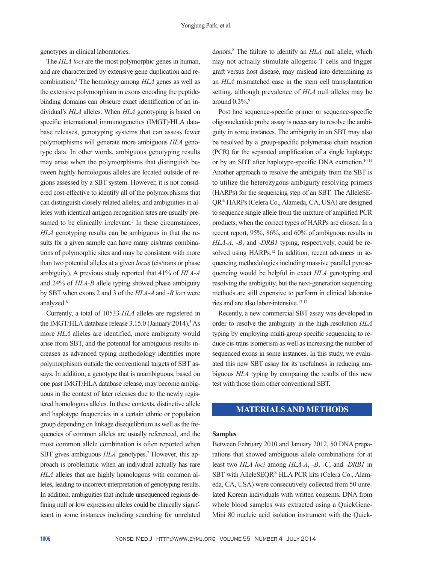genotypes in clinical laboratories.

The *HLA loci* are the most polymorphic genes in human, and are characterized by extensive gene duplication and recombination.4 The homology among *HLA* genes as well as the extensive polymorphism in exons encoding the peptidebinding domains can obscure exact identification of an individual's *HLA* alleles. When *HLA* genotyping is based on specific international immunogenetics (IMGT)/HLA database releases, genotyping systems that can assess fewer polymorphisms will generate more ambiguous *HLA* genotype data. In other words, ambiguous genotyping results may arise when the polymorphisms that distinguish between highly homologous alleles are located outside of regions assessed by a SBT system. However, it is not considered cost-effective to identify all of the polymorphisms that can distinguish closely related alleles, and ambiguities in alleles with identical antigen recognition sites are usually presumed to be clinically irrelevant.<sup>5</sup> In these circumstances, *HLA* genotyping results can be ambiguous in that the results for a given sample can have many cis/trans combinations of polymorphic sites and may be consistent with more than two potential alleles at a given *locus* (cis/trans or phase ambiguity). A previous study reported that 41% of *HLA-A* and 24% of *HLA-B* allele typing showed phase ambiguity by SBT when exons 2 and 3 of the *HLA-A* and *-B loci* were analyzed.<sup>6</sup>

Currently, a total of 10533 *HLA* alleles are registered in the IMGT/HLA database release 3.15.0 (January 2014).<sup>4</sup> As more *HLA* alleles are identified, more ambiguity would arise from SBT, and the potential for ambiguous results increases as advanced typing methodology identifies more polymorphisms outside the conventional targets of SBT assays. In addition, a genotype that is unambiguous, based on one past IMGT/HLA database release, may become ambiguous in the context of later releases due to the newly registered homologous alleles. In these contexts, distinctive allele and haplotype frequencies in a certain ethnic or population group depending on linkage disequilibrium as well as the frequencies of common alleles are usually referenced, and the most common allele combination is often reported when SBT gives ambiguous *HLA* genotypes.<sup>7</sup> However, this approach is problematic when an individual actually has rare *HLA* alleles that are highly homologous with common alleles, leading to incorrect interpretation of genotyping results. In addition, ambiguities that include unsequenced regions defining null or low expression alleles could be clinically significant in some instances including searching for unrelated

donors.8 The failure to identify an *HLA* null allele, which may not actually stimulate allogenic T cells and trigger graft versus host disease, may mislead into determining as an *HLA* mismatched case in the stem cell transplantation setting, although prevalence of *HLA* null alleles may be around  $0.3\%$ .<sup>9</sup>

Post hoc sequence-specific primer or sequence-specific oligonucleotide probe assay is necessary to resolve the ambiguity in some instances. The ambiguity in an SBT may also be resolved by a group-specific polymerase chain reaction (PCR) for the separated amplification of a single haplotype or by an SBT after haplotype-specific DNA extraction.<sup>10,11</sup> Another approach to resolve the ambiguity from the SBT is to utilize the heterozygous ambiguity resolving primers (HARPs) for the sequencing step of an SBT. The AlleleSE-QR® HARPs (Celera Co., Alameda, CA, USA) are designed to sequence single allele from the mixture of amplified PCR products, when the correct types of HARPs are chosen. In a recent report, 95%, 86%, and 60% of ambiguous results in *HLA-A*, *-B*, and *-DRB1* typing, respectively, could be resolved using HARPs.<sup>12</sup> In addition, recent advances in sequencing methodologies including massive parallel pyrosequencing would be helpful in exact *HLA* genotyping and resolving the ambiguity, but the next-generation sequencing methods are still expensive to perform in clinical laboratories and are also labor-intensive.13-17

Recently, a new commercial SBT assay was developed in order to resolve the ambiguity in the high-resolution *HLA* typing by employing multi-group specific sequencing to reduce cis-trans isomerism as well as increasing the number of sequenced exons in some instances. In this study, we evaluated this new SBT assay for its usefulness in reducing ambiguous *HLA* typing by comparing the results of this new test with those from other conventional SBT.

# **MATERIALS AND METHODS**

#### **Samples**

Between February 2010 and January 2012, 50 DNA preparations that showed ambiguous allele combinations for at least two *HLA loci* among *HLA-A*, *-B*, *-C*, and *-DRB1* in SBT with AlleleSEQR® HLA PCR kits (Celera Co., Alameda, CA, USA) were consecutively collected from 50 unrelated Korean individuals with written consents. DNA from whole blood samples was extracted using a QuickGene-Mini 80 nucleic acid isolation instrument with the Quick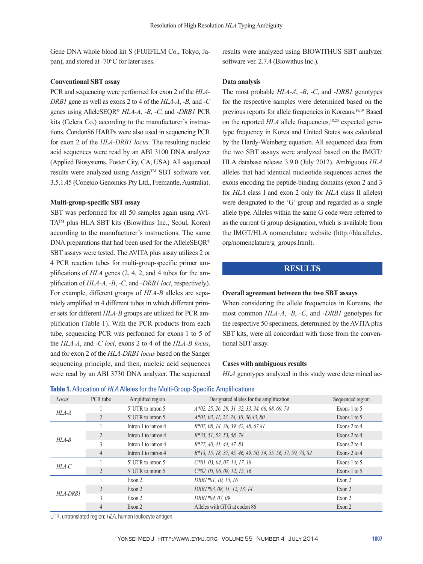Gene DNA whole blood kit S (FUJIFILM Co., Tokyo, Japan), and stored at -70°C for later uses.

## **Conventional SBT assay**

PCR and sequencing were performed for exon 2 of the *HLA-DRB1* gene as well as exons 2 to 4 of the *HLA-A*, *-B*, and *-C* genes using AlleleSEQR® *HLA-A*, *-B*, *-C*, and *-DRB1* PCR kits (Celera Co.) according to the manufacturer's instructions. Condon86 HARPs were also used in sequencing PCR for exon 2 of the *HLA-DRB1 locus*. The resulting nucleic acid sequences were read by an ABI 3100 DNA analyzer (Applied Biosystems, Foster City, CA, USA). All sequenced results were analyzed using Assign™ SBT software ver. 3.5.1.45 (Conexio Genomics Pty Ltd., Fremantle, Australia).

### **Multi-group-specific SBT assay**

SBT was performed for all 50 samples again using AVI- $TA^{TM}$  plus HLA SBT kits (Biowithus Inc., Seoul, Korea) according to the manufacturer's instructions. The same DNA preparations that had been used for the AlleleSEQR® SBT assays were tested. The AVITA plus assay utilizes 2 or 4 PCR reaction tubes for multi-group-specific primer amplifications of *HLA* genes (2, 4, 2, and 4 tubes for the amplification of *HLA-A*, *-B*, *-C*, and *-DRB1 loci*, respectively). For example, different groups of *HLA-B* alleles are separately amplified in 4 different tubes in which different primer sets for different *HLA-B* groups are utilized for PCR amplification (Table 1). With the PCR products from each tube, sequencing PCR was performed for exons 1 to 5 of the *HLA-A*, and *-C loci*, exons 2 to 4 of the *HLA-B locus*, and for exon 2 of the *HLA-DRB1 locus* based on the Sanger sequencing principle, and then, nucleic acid sequences were read by an ABI 3730 DNA analyzer. The sequenced results were analyzed using BIOWITHUS SBT analyzer software ver. 2.7.4 (Biowithus Inc.).

#### **Data analysis**

The most probable *HLA-A*, *-B*, *-C*, and *-DRB1* genotypes for the respective samples were determined based on the previous reports for allele frequencies in Koreans.18,19 Based on the reported *HLA* allele frequencies.<sup>18,20</sup> expected genotype frequency in Korea and United States was calculated by the Hardy-Weinberg equation. All sequenced data from the two SBT assays were analyzed based on the IMGT/ HLA database release 3.9.0 (July 2012). Ambiguous *HLA* alleles that had identical nucleotide sequences across the exons encoding the peptide-binding domains (exon 2 and 3 for *HLA* class I and exon 2 only for *HLA* class II alleles) were designated to the 'G' group and regarded as a single allele type. Alleles within the same G code were referred to as the current G group designation, which is available from the IMGT/HLA nomenclature website (http://hla.alleles. org/nomenclature/g\_groups.html).

# **RESULTS**

## **Overall agreement between the two SBT assays**

When considering the allele frequencies in Koreans, the most common *HLA-A*, *-B*, *-C*, and *-DRB1* genotypes for the respective 50 specimens, determined by the AVITA plus SBT kits, were all concordant with those from the conventional SBT assay.

#### **Cases with ambiguous results**

*HLA* genotypes analyzed in this study were determined ac-

| Locus    | PCR tube       | Amplified region     | Designated alleles for the amplification                     | Sequenced region |
|----------|----------------|----------------------|--------------------------------------------------------------|------------------|
| $HLA-A$  |                | 5' UTR to intron 5   | 4*02, 25, 26, 29, 31, 32, 33, 34, 66, 68, 69, 74             | Exons 1 to 5     |
|          |                | 5' UTR to intron 5   | 4*01, 03, 11, 23, 24, 30, 36, 43, 80                         | Exons 1 to 5     |
|          |                | Intron 1 to intron 4 | B*07, 08, 14, 38, 39, 42, 48, 67,81                          | Exons $2$ to $4$ |
| $HLA-B$  | $\mathfrak{D}$ | Intron 1 to intron 4 | <i>B</i> *35, 51, 52, 53, 58, 78                             | Exons 2 to $4$   |
|          |                | Intron 1 to intron 4 | B*27, 40, 41, 44, 47, 83                                     | Exons $2$ to $4$ |
|          | 4              | Intron 1 to intron 4 | B*13, 15, 18, 37, 45, 46, 49, 50, 54, 55, 56, 57, 59, 73, 82 | Exons 2 to $4$   |
| $HLA-C$  |                | 5' UTR to intron 5   | $C*01, 03, 04, 07, 14, 17, 18$                               | Exons 1 to 5     |
|          | $\overline{2}$ | 5' UTR to intron 5   | $C*02$ , 05, 06, 08, 12, 15, 16                              | Exons 1 to 5     |
|          |                | Exon 2               | DRB1*01, 10, 15, 16                                          | Exon 2           |
|          | $\mathfrak{D}$ | Exon 2               | DRB1*03, 08, 11, 12, 13, 14                                  | Exon 2           |
| HLA-DRB1 | 3              | Exon 2               | DRB1*04, 07, 09                                              | Exon 2           |
|          | 4              | Exon 2               | Alleles with GTG at codon 86                                 | Exon 2           |

## **Table 1.** Allocation of *HLA* Alleles for the Multi-Group-Specific Amplifications

UTR, untranslated region; *HLA*, human leukocyte antigen.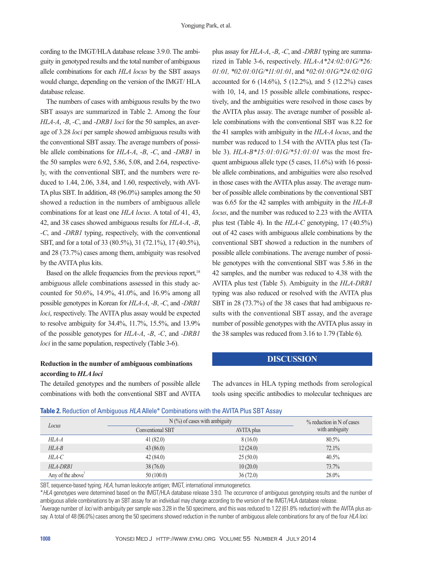cording to the IMGT/HLA database release 3.9.0. The ambiguity in genotyped results and the total number of ambiguous allele combinations for each *HLA locus* by the SBT assays would change, depending on the version of the IMGT/ HLA database release.

The numbers of cases with ambiguous results by the two SBT assays are summarized in Table 2. Among the four *HLA-A*, *-B*, *-C*, and *-DRB1 loci* for the 50 samples, an average of 3.28 *loci* per sample showed ambiguous results with the conventional SBT assay. The average numbers of possible allele combinations for *HLA-A*, *-B*, *-C*, and *-DRB1* in the 50 samples were 6.92, 5.86, 5.08, and 2.64, respectively, with the conventional SBT, and the numbers were reduced to 1.44, 2.06, 3.84, and 1.60, respectively, with AVI-TA plus SBT. In addition, 48 (96.0%) samples among the 50 showed a reduction in the numbers of ambiguous allele combinations for at least one *HLA locus*. A total of 41, 43, 42, and 38 cases showed ambiguous results for *HLA-A*, *-B*, *-C*, and *-DRB1* typing, respectively, with the conventional SBT, and for a total of 33 (80.5%), 31 (72.1%), 17 (40.5%), and 28 (73.7%) cases among them, ambiguity was resolved by the AVITA plus kits.

Based on the allele frequencies from the previous report,<sup>18</sup> ambiguous allele combinations assessed in this study accounted for 50.6%, 14.9%, 41.0%, and 16.9% among all possible genotypes in Korean for *HLA-A*, *-B*, *-C*, and *-DRB1 loci*, respectively. The AVITA plus assay would be expected to resolve ambiguity for 34.4%, 11.7%, 15.5%, and 13.9% of the possible genotypes for *HLA-A*, *-B*, *-C*, and *-DRB1 loci* in the same population, respectively (Table 3-6).

## **Reduction in the number of ambiguous combinations according to** *HLA loci*

The detailed genotypes and the numbers of possible allele combinations with both the conventional SBT and AVITA plus assay for *HLA-A*, *-B*, *-C*, and *-DRB1* typing are summarized in Table 3-6, respectively. *HLA-A\*24:02:01G/\*26: 01:01, \*02:01:01G/\*11:01:01*, and \**02:01:01G/\*24:02:01G* accounted for 6 (14.6%), 5 (12.2%), and 5 (12.2%) cases with 10, 14, and 15 possible allele combinations, respectively, and the ambiguities were resolved in those cases by the AVITA plus assay. The average number of possible allele combinations with the conventional SBT was 8.22 for the 41 samples with ambiguity in the *HLA-A locus*, and the number was reduced to 1.54 with the AVITA plus test (Table 3). *HLA-B\*15:01:01G/\*51:01:01* was the most frequent ambiguous allele type (5 cases, 11.6%) with 16 possible allele combinations, and ambiguities were also resolved in those cases with the AVITA plus assay. The average number of possible allele combinations by the conventional SBT was 6.65 for the 42 samples with ambiguity in the *HLA-B locus*, and the number was reduced to 2.23 with the AVITA plus test (Table 4). In the *HLA-C* genotyping, 17 (40.5%) out of 42 cases with ambiguous allele combinations by the conventional SBT showed a reduction in the numbers of possible allele combinations. The average number of possible genotypes with the conventional SBT was 5.86 in the 42 samples, and the number was reduced to 4.38 with the AVITA plus test (Table 5). Ambiguity in the *HLA-DRB1* typing was also reduced or resolved with the AVITA plus SBT in 28 (73.7%) of the 38 cases that had ambiguous results with the conventional SBT assay, and the average number of possible genotypes with the AVITA plus assay in the 38 samples was reduced from 3.16 to 1.79 (Table 6).

## **DISCUSSION**

The advances in HLA typing methods from serological tools using specific antibodies to molecular techniques are

|  |  | Table 2. Reduction of Ambiguous HLA Allele* Combinations with the AVITA Plus SBT Assay |
|--|--|----------------------------------------------------------------------------------------|
|--|--|----------------------------------------------------------------------------------------|

|                               | $N$ (%) of cases with ambiguity | $\%$ reduction in N of cases |                |
|-------------------------------|---------------------------------|------------------------------|----------------|
| Locus                         | <b>Conventional SBT</b>         | AVITA plus                   | with ambiguity |
| HLA-A                         | 41(82.0)                        | 8(16.0)                      | 80.5%          |
| $HLA-B$                       | 43(86.0)                        | 12(24.0)                     | 72.1%          |
| HLA-C                         | 42(84.0)                        | 25(50.0)                     | 40.5%          |
| $HLA-DRB1$                    | 38(76.0)                        | 10(20.0)                     | 73.7%          |
| Any of the above <sup>†</sup> | 50(100.0)                       | 36(72.0)                     | 28.0%          |

SBT, sequence-based typing; *HLA*, human leukocyte antigen; IMGT, international immunogenetics.

\**HLA* genotypes were determined based on the IMGT/HLA database release 3.9.0. The occurrence of ambiguous genotyping results and the number of ambiguous allele combinations by an SBT assay for an individual may change according to the version of the IMGT/HLA database release.

† Average number of *loci* with ambiguity per sample was 3.28 in the 50 specimens, and this was reduced to 1.22 (61.8% reduction) with the AVITA plus assay. A total of 48 (96.0%) cases among the 50 specimens showed reduction in the number of ambiguous allele combinations for any of the four *HLA loci*.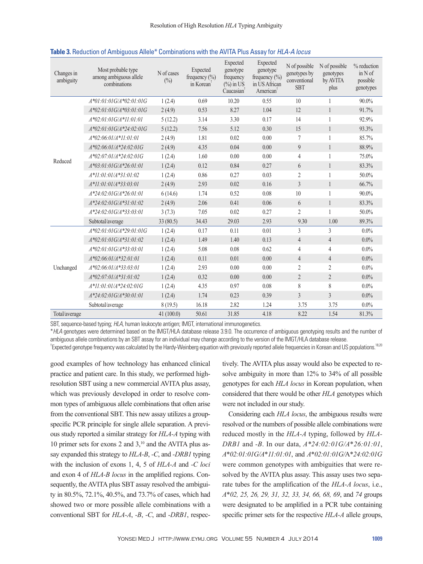| Changes in<br>ambiguity | Most probable type<br>among ambiguous allele<br>combinations | N of cases<br>$(\%)$ | Expected<br>frequency $\left(\frac{0}{0}\right)$<br>in Korean | Expected<br>genotype<br>frequency<br>$(\% )$ in US<br>Caucasian <sup>T</sup> | Expected<br>genotype<br>frequency $(\% )$<br>in US African<br>American <sup>†</sup> | N of possible<br>genotypes by<br>conventional<br><b>SBT</b> | N of possible<br>genotypes<br>by AVITA<br>plus | % reduction<br>$in N$ of<br>possible<br>genotypes |
|-------------------------|--------------------------------------------------------------|----------------------|---------------------------------------------------------------|------------------------------------------------------------------------------|-------------------------------------------------------------------------------------|-------------------------------------------------------------|------------------------------------------------|---------------------------------------------------|
|                         | $A*01:01:01G/A*02:01:01G$                                    | 1(2.4)               | 0.69                                                          | 10.20                                                                        | 0.55                                                                                | 10                                                          | 1                                              | 90.0%                                             |
|                         | $A*02:01:01G/A*03:01:01G$                                    | 2(4.9)               | 0.53                                                          | 8.27                                                                         | 1.04                                                                                | 12                                                          | $\mathbf{1}$                                   | 91.7%                                             |
|                         | $A*02:01:01G/A*11:01:01$                                     | 5(12.2)              | 3.14                                                          | 3.30                                                                         | 0.17                                                                                | 14                                                          | $\mathbf{1}$                                   | 92.9%                                             |
|                         | $A*02:01:01G/A*24:02:01G$                                    | 5(12.2)              | 7.56                                                          | 5.12                                                                         | 0.30                                                                                | 15                                                          | $\mathbf{1}$                                   | 93.3%                                             |
|                         | $A*02:06:01/A*11:01:01$                                      | 2(4.9)               | 1.81                                                          | 0.02                                                                         | 0.00                                                                                | $\tau$                                                      | 1                                              | 85.7%                                             |
|                         | $A*02:06:01/A*24:02:01G$                                     | 2(4.9)               | 4.35                                                          | 0.04                                                                         | 0.00                                                                                | 9                                                           | $\mathbf{1}$                                   | 88.9%                                             |
|                         | $A*02:07:01/A*24:02:01G$                                     | 1(2.4)               | 1.60                                                          | 0.00                                                                         | 0.00                                                                                | 4                                                           | 1                                              | 75.0%                                             |
| Reduced                 | $A*03:01:01G/A*26:01:01$                                     | 1(2.4)               | 0.12                                                          | 0.84                                                                         | 0.27                                                                                | 6                                                           | $\mathbf{1}$                                   | 83.3%                                             |
|                         | $A*11:01:01/A*31:01:02$                                      | 1(2.4)               | 0.86                                                          | 0.27                                                                         | 0.03                                                                                | $\overline{2}$                                              | 1                                              | 50.0%                                             |
|                         | $A*11:01:01/A*33:03:01$                                      | 2(4.9)               | 2.93                                                          | 0.02                                                                         | 0.16                                                                                | 3                                                           | $\mathbf{1}$                                   | 66.7%                                             |
|                         | $A*24:02:01G/A*26:01:01$                                     | 6(14.6)              | 1.74                                                          | 0.52                                                                         | 0.08                                                                                | 10                                                          | $\mathbf{1}$                                   | 90.0%                                             |
|                         | $A*24:02:01G/A*31:01:02$                                     | 2(4.9)               | 2.06                                                          | 0.41                                                                         | 0.06                                                                                | 6                                                           | $\mathbf{1}$                                   | 83.3%                                             |
|                         | $A*24:02:01G/A*33:03:01$                                     | 3(7.3)               | 7.05                                                          | 0.02                                                                         | 0.27                                                                                | $\overline{2}$                                              | 1                                              | 50.0%                                             |
|                         | Subtotal/average                                             | 33(80.5)             | 34.43                                                         | 29.03                                                                        | 2.93                                                                                | 9.30                                                        | 1.00                                           | 89.3%                                             |
|                         | $A*02:01:01G/A*29:01:01G$                                    | 1(2.4)               | 0.17                                                          | 0.11                                                                         | 0.01                                                                                | 3                                                           | 3                                              | $0.0\%$                                           |
|                         | $A*02:01:01G/A*31:01:02$                                     | 1(2.4)               | 1.49                                                          | 1.40                                                                         | 0.13                                                                                | $\overline{4}$                                              | $\overline{4}$                                 | 0.0%                                              |
|                         | $A*02:01:01G/A*33:03:01$                                     | 1(2.4)               | 5.08                                                          | 0.08                                                                         | 0.62                                                                                | 4                                                           | $\overline{4}$                                 | $0.0\%$                                           |
|                         | $A*02:06:01/A*32:01:01$                                      | 1(2.4)               | 0.11                                                          | 0.01                                                                         | 0.00                                                                                | $\overline{4}$                                              | $\overline{4}$                                 | $0.0\%$                                           |
| Unchanged               | $A*02:06:01/A*33:03:01$                                      | 1(2.4)               | 2.93                                                          | 0.00                                                                         | 0.00                                                                                | 2                                                           | $\overline{2}$                                 | 0.0%                                              |
|                         | $A*02:07:01/A*31:01:02$                                      | 1(2.4)               | 0.32                                                          | 0.00                                                                         | 0.00                                                                                | $\overline{2}$                                              | $\overline{2}$                                 | $0.0\%$                                           |
|                         | $A*11:01:01/A*24:02:01G$                                     | 1(2.4)               | 4.35                                                          | 0.97                                                                         | 0.08                                                                                | 8                                                           | 8                                              | $0.0\%$                                           |
|                         | $A*24.02.01G/A*30.01.01$                                     | 1(2.4)               | 1.74                                                          | 0.23                                                                         | 0.39                                                                                | $\overline{3}$                                              | 3                                              | $0.0\%$                                           |
|                         | Subtotal/average                                             | 8(19.5)              | 16.18                                                         | 2.82                                                                         | 1.24                                                                                | 3.75                                                        | 3.75                                           | $0.0\%$                                           |
| Total/average           |                                                              | 41(100.0)            | 50.61                                                         | 31.85                                                                        | 4.18                                                                                | 8.22                                                        | 1.54                                           | 81.3%                                             |

#### **Table 3.** Reduction of Ambiguous Allele\* Combinations with the AVITA Plus Assay for *HLA-A locus*

SBT, sequence-based typing; *HLA*, human leukocyte antigen; IMGT, international immunogenetics.

\**HLA* genotypes were determined based on the IMGT/HLA database release 3.9.0. The occurrence of ambiguous genotyping results and the number of ambiguous allele combinations by an SBT assay for an individual may change according to the version of the IMGT/HLA database release.

<sup>†</sup>Expected genotype frequency was calculated by the Hardy-Weinberg equation with previously reported allele frequencies in Korean and US populations.<sup>18,20</sup>

good examples of how technology has enhanced clinical practice and patient care. In this study, we performed highresolution SBT using a new commercial AVITA plus assay, which was previously developed in order to resolve common types of ambiguous allele combinations that often arise from the conventional SBT. This new assay utilizes a groupspecific PCR principle for single allele separation. A previous study reported a similar strategy for *HLA-A* typing with 10 primer sets for exons 2 and  $3$ ,<sup>10</sup> and the AVITA plus assay expanded this strategy to *HLA-B*, *-C*, and *-DRB1* typing with the inclusion of exons 1, 4, 5 of *HLA-A* and *-C loci*  and exon 4 of *HLA-B locus* in the amplified regions. Consequently, the AVITA plus SBT assay resolved the ambiguity in 80.5%, 72.1%, 40.5%, and 73.7% of cases, which had showed two or more possible allele combinations with a conventional SBT for *HLA-A*, *-B*, *-C*, and *-DRB1*, respec-

tively. The AVITA plus assay would also be expected to resolve ambiguity in more than 12% to 34% of all possible genotypes for each *HLA locus* in Korean population, when considered that there would be other *HLA* genotypes which were not included in our study.

Considering each *HLA locus*, the ambiguous results were resolved or the numbers of possible allele combinations were reduced mostly in the *HLA-A* typing, followed by *HLA-DRB1* and *-B*. In our data, *A\*24:02:01G/A*\**26:01:01*, *A*\**02:01:01G/A*\**11:01:01*, and *A*\**02:01:01G/*A\**24:02:01G* were common genotypes with ambiguities that were resolved by the AVITA plus assay. This assay uses two separate tubes for the amplification of the *HLA-A locus*, i.e., *A*\**02, 25, 26, 29, 31, 32, 33, 34, 66, 68, 69*, and *74* groups were designated to be amplified in a PCR tube containing specific primer sets for the respective *HLA-A* allele groups,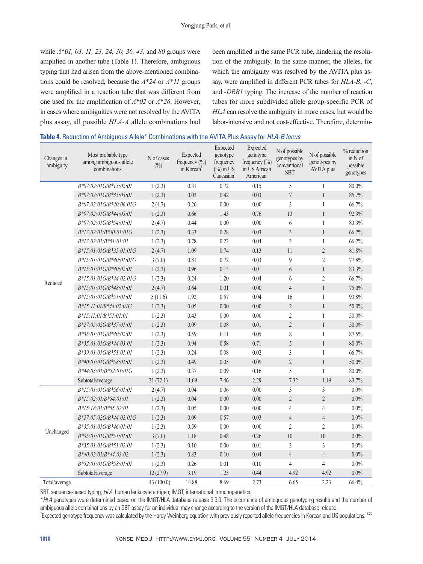while *A*\**01, 03, 11, 23, 24, 30, 36, 43,* and *80* groups were amplified in another tube (Table 1). Therefore, ambiguous typing that had arisen from the above-mentioned combinations could be resolved, because the *A*\**24* or *A*\**11* groups were amplified in a reaction tube that was different from one used for the amplification of *A*\**02* or *A*\**26*. However, in cases where ambiguities were not resolved by the AVITA plus assay, all possible *HLA-A* allele combinations had been amplified in the same PCR tube, hindering the resolution of the ambiguity. In the same manner, the alleles, for which the ambiguity was resolved by the AVITA plus assay, were amplified in different PCR tubes for *HLA-B*, *-C*, and *-DRB1* typing. The increase of the number of reaction tubes for more subdivided allele group-specific PCR of *HLA* can resolve the ambiguity in more cases, but would be labor-intensive and not cost-effective. Therefore, determin-

| Changes in<br>ambiguity | Most probable type<br>among ambiguous allele<br>combinations | N of cases<br>$(\%)$ | Expected<br>frequency $(\% )$<br>in Korean <sup>1</sup> | Expected<br>genotype<br>frequency<br>$(\%)$ in US<br>Caucasian <sup>†</sup> | Expected<br>genotype<br>frequency $(\%)$<br>in US African<br>American <sup>†</sup> | N of possible<br>genotypes by<br>conventional<br><b>SBT</b> | N of possible<br>genotypes by<br><b>AVITA</b> plus | % reduction<br>in N of<br>possible<br>genotypes |
|-------------------------|--------------------------------------------------------------|----------------------|---------------------------------------------------------|-----------------------------------------------------------------------------|------------------------------------------------------------------------------------|-------------------------------------------------------------|----------------------------------------------------|-------------------------------------------------|
|                         | B*07:02:01G/B*13:02:01                                       | 1(2.3)               | 0.31                                                    | 0.72                                                                        | 0.15                                                                               | 5                                                           | 1                                                  | 80.0%                                           |
|                         | B*07:02:01G/B*35:03:01                                       | 1(2.3)               | 0.03                                                    | 0.42                                                                        | 0.03                                                                               | $\overline{\mathcal{I}}$                                    | $\mathbf{1}$                                       | 85.7%                                           |
|                         | $B*07:02:01G/B*40:06:01G$                                    | 2(4.7)               | 0.26                                                    | 0.00                                                                        | 0.00                                                                               | $\overline{3}$                                              | $\mathbf{1}$                                       | 66.7%                                           |
|                         | B*07:02:01G/B*44:03:01                                       | 1(2.3)               | 0.66                                                    | 1.43                                                                        | 0.76                                                                               | 13                                                          | $\mathbf{1}$                                       | 92.3%                                           |
|                         | B*07:02:01G/B*54:01:01                                       | 2(4.7)               | 0.44                                                    | 0.00                                                                        | 0.00                                                                               | 6                                                           | $\mathbf{1}$                                       | 83.3%                                           |
|                         | B*13:02:01/B*40:01:01G                                       | 1(2.3)               | 0.33                                                    | 0.28                                                                        | 0.03                                                                               | $\mathfrak{Z}$                                              | $\mathbf{1}$                                       | 66.7%                                           |
|                         | B*13:02:01/B*51:01:01                                        | 1(2.3)               | 0.78                                                    | 0.22                                                                        | 0.04                                                                               | $\mathfrak{Z}$                                              | 1                                                  | 66.7%                                           |
|                         | B*15:01:01G/B*35:01:01G                                      | 2(4.7)               | 1.09                                                    | 0.74                                                                        | 0.13                                                                               | $11\,$                                                      | $\sqrt{2}$                                         | 81.8%                                           |
|                         | B*15:01:01G/B*40:01:01G                                      | 3(7.0)               | 0.81                                                    | 0.72                                                                        | 0.03                                                                               | 9                                                           | $\overline{2}$                                     | 77.8%                                           |
|                         | B*15:01:01G/B*40:02:01                                       | 1(2.3)               | 0.96                                                    | 0.13                                                                        | 0.01                                                                               | 6                                                           | $\mathbf{1}$                                       | 83.3%                                           |
|                         | B*15:01:01G/B*44:02:01G                                      | 1(2.3)               | 0.24                                                    | 1.20                                                                        | 0.04                                                                               | 6                                                           | $\overline{2}$                                     | 66.7%                                           |
| Reduced                 | B*15:01:01G/B*48:01:01                                       | 2(4.7)               | 0.64                                                    | 0.01                                                                        | 0.00                                                                               | $\overline{4}$                                              | $\mathbf{1}$                                       | 75.0%                                           |
|                         | $B*15:01:01G/B*51:01:01$                                     | 5(11.6)              | 1.92                                                    | 0.57                                                                        | 0.04                                                                               | 16                                                          | $\mathbf{1}$                                       | 93.8%                                           |
|                         | B*15:11:01/B*44:02:01G                                       | 1(2.3)               | 0.05                                                    | 0.00                                                                        | 0.00                                                                               | $\sqrt{2}$                                                  | 1                                                  | 50.0%                                           |
|                         | $B*15:11:01/B*51:01:01$                                      | 1(2.3)               | 0.43                                                    | 0.00                                                                        | 0.00                                                                               | $\overline{2}$                                              | $\mathbf{1}$                                       | 50.0%                                           |
|                         | B*27:05:02G/B*37:01:01                                       | 1(2.3)               | 0.09                                                    | 0.08                                                                        | 0.01                                                                               | $\sqrt{2}$                                                  | $\mathbf{1}$                                       | 50.0%                                           |
|                         | B*35:01:01G/B*40:02:01                                       | 1(2.3)               | 0.59                                                    | 0.11                                                                        | 0.05                                                                               | 8                                                           | 1                                                  | 87.5%                                           |
|                         | B*35.01.01G/B*44.03.01                                       | 1(2.3)               | 0.94                                                    | 0.58                                                                        | 0.71                                                                               | 5                                                           | $\mathbf{1}$                                       | 80.0%                                           |
|                         | B*39:01:01G/B*51:01:01                                       | 1(2.3)               | 0.24                                                    | 0.08                                                                        | 0.02                                                                               | 3                                                           | 1                                                  | 66.7%                                           |
|                         | B*40:01:01G/B*58:01:01                                       | 1(2.3)               | 0.49                                                    | 0.05                                                                        | 0.09                                                                               | $\overline{2}$                                              | $\mathbf{1}$                                       | 50.0%                                           |
|                         | B*44:03:01/B*52:01:01G                                       | 1(2.3)               | 0.37                                                    | 0.09                                                                        | 0.16                                                                               | 5                                                           | 1                                                  | $80.0\%$                                        |
|                         | Subtotal/average                                             | 31(72.1)             | 11.69                                                   | 7.46                                                                        | 2.29                                                                               | 7.32                                                        | 1.19                                               | 83.7%                                           |
|                         | B*15:01:01G/B*56:01:01                                       | 2(4.7)               | 0.04                                                    | 0.06                                                                        | 0.00                                                                               | 3                                                           | $\overline{3}$                                     | $0.0\%$                                         |
|                         | B*15:02:01/B*54:01:01                                        | 1(2.3)               | 0.04                                                    | 0.00                                                                        | 0.00                                                                               | $\sqrt{2}$                                                  | $\overline{2}$                                     | $0.0\%$                                         |
|                         | B*15:18:01/B*55:02:01                                        | 1(2.3)               | 0.05                                                    | 0.00                                                                        | 0.00                                                                               | $\sqrt{4}$                                                  | $\overline{4}$                                     | $0.0\%$                                         |
|                         | B*27:05:02G/B*44:02:01G                                      | 1(2.3)               | 0.09                                                    | 0.57                                                                        | 0.03                                                                               | $\overline{4}$                                              | $\overline{4}$                                     | $0.0\%$                                         |
| Unchanged               | B*35:01:01G/B*46:01:01                                       | 1(2.3)               | 0.59                                                    | 0.00                                                                        | 0.00                                                                               | $\sqrt{2}$                                                  | $\sqrt{2}$                                         | $0.0\%$                                         |
|                         | B*35:01:01G/B*51:01:01                                       | 3(7.0)               | 1.18                                                    | 0.48                                                                        | 0.26                                                                               | 10                                                          | 10                                                 | $0.0\%$                                         |
|                         | B*35:01:01G/B*51:02:01                                       | 1(2.3)               | 0.10                                                    | 0.00                                                                        | 0.01                                                                               | $\mathfrak{Z}$                                              | $\mathfrak{Z}$                                     | $0.0\%$                                         |
|                         | B*40:02:01/B*44:03:02                                        | 1(2.3)               | 0.83                                                    | 0.10                                                                        | 0.04                                                                               | $\sqrt{4}$                                                  | $\overline{4}$                                     | $0.0\%$                                         |
|                         | B*52:01:01G/B*58:01:01                                       | 1(2.3)               | 0.26                                                    | 0.01                                                                        | 0.10                                                                               | $\overline{4}$                                              | $\overline{4}$                                     | $0.0\%$                                         |
|                         | Subtotal/average                                             | 12(27.9)             | 3.19                                                    | 1.23                                                                        | 0.44                                                                               | 4.92                                                        | 4.92                                               | $0.0\%$                                         |
| Total/average           |                                                              | 43 (100.0)           | 14.88                                                   | 8.69                                                                        | 2.73                                                                               | 6.65                                                        | 2.23                                               | 66.4%                                           |

SBT, sequence-based typing; *HLA*, human leukocyte antigen; IMGT, international immunogenetics.

\**HLA* genotypes were determined based on the IMGT/HLA database release 3.9.0. The occurrence of ambiguous genotyping results and the number of ambiguous allele combinations by an SBT assay for an individual may change according to the version of the IMGT/HLA database release.

<sup>†</sup> Expected genotype frequency was calculated by the Hardy-Weinberg equation with previously reported allele frequencies in Korean and US populations.<sup>18,20</sup>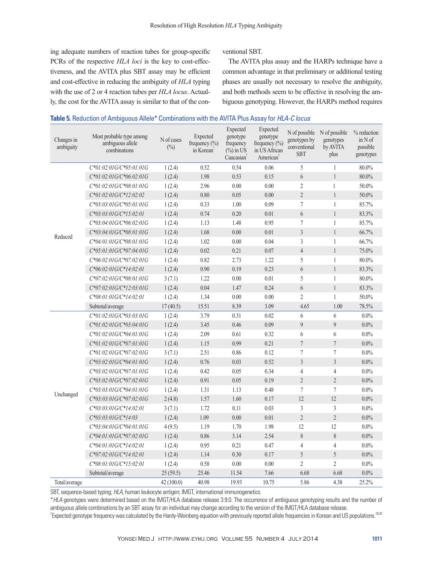ing adequate numbers of reaction tubes for group-specific PCRs of the respective *HLA loci* is the key to cost-effectiveness, and the AVITA plus SBT assay may be efficient and cost-effective in reducing the ambiguity of *HLA* typing with the use of 2 or 4 reaction tubes per *HLA locus*. Actually, the cost for the AVITA assay is similar to that of the conventional SBT.

The AVITA plus assay and the HARPs technique have a common advantage in that preliminary or additional testing phases are usually not necessary to resolve the ambiguity, and both methods seem to be effective in resolving the ambiguous genotyping. However, the HARPs method requires

| Changes in<br>ambiguity | Most probable type among<br>ambiguous allele<br>combinations | N of cases<br>$(\%)$ | Expected<br>frequency $(\% )$<br>in Korean | Expected<br>genotype<br>frequency<br>$(\% )$ in US<br>Caucasian | Expected<br>genotype<br>frequency (%)<br>in US African<br>American | N of possible<br>genotypes by<br>conventional<br><b>SBT</b> | N of possible<br>genotypes<br>by AVITA<br>plus | % reduction<br>in N of<br>possible<br>genotypes |
|-------------------------|--------------------------------------------------------------|----------------------|--------------------------------------------|-----------------------------------------------------------------|--------------------------------------------------------------------|-------------------------------------------------------------|------------------------------------------------|-------------------------------------------------|
|                         | C*01:02:01G/C*05:01:01G                                      | 1(2.4)               | 0.52                                       | 0.54                                                            | 0.06                                                               | 5                                                           | $\mathbf{1}$                                   | 80.0%                                           |
|                         | C*01:02:01G/C*06:02:01G                                      | 1(2.4)               | 1.98                                       | 0.53                                                            | 0.15                                                               | 6                                                           | $\,1$                                          | 80.0%                                           |
|                         | C*01:02:01G/C*08:01:01G                                      | 1(2.4)               | 2.96                                       | 0.00                                                            | 0.00                                                               | $\overline{2}$                                              | $\mathbf{1}$                                   | $50.0\%$                                        |
|                         | C*01:02:01G/C*12:02:02                                       | 1(2.4)               | 0.80                                       | 0.05                                                            | 0.00                                                               | $\overline{2}$                                              | $\mathbf{1}$                                   | 50.0%                                           |
|                         | $C*03:03:01G/C*05:01:01G$                                    | 1(2.4)               | 0.33                                       | 1.00                                                            | 0.09                                                               | $\overline{7}$                                              | $\mathbf{1}$                                   | 85.7%                                           |
|                         | C*03:03:01G/C*15:02:01                                       | 1(2.4)               | 0.74                                       | 0.20                                                            | 0.01                                                               | $6\,$                                                       | $\mathbf{1}$                                   | 83.3%                                           |
|                         | $C*03:04:01G/C*06:02:01G$                                    | 1(2.4)               | 1.13                                       | 1.48                                                            | 0.95                                                               | $\tau$                                                      | $\mathbf{1}$                                   | 85.7%                                           |
| Reduced                 | $C*03:04:01G/C*08:01:01G$                                    | 1(2.4)               | 1.68                                       | $0.00\,$                                                        | 0.01                                                               | $\overline{3}$                                              | $\mathbf{1}$                                   | 66.7%                                           |
|                         | C*04:01:01G/C*08:01:01G                                      | 1(2.4)               | 1.02                                       | 0.00                                                            | 0.04                                                               | $\overline{3}$                                              | $\mathbf{1}$                                   | 66.7%                                           |
|                         | $C*05:01:01G/C*07:04:01G$                                    | 1(2.4)               | 0.02                                       | 0.21                                                            | 0.07                                                               | $\overline{4}$                                              | $\mathbf{1}$                                   | 75.0%                                           |
|                         | $C*06:02:01G/C*07:02:01G$                                    | 1(2.4)               | 0.82                                       | 2.73                                                            | 1.22                                                               | 5                                                           | $\mathbf{1}$                                   | $80.0\%$                                        |
|                         | C*06:02:01G/C*14:02:01                                       | 1(2.4)               | 0.90                                       | 0.19                                                            | 0.23                                                               | $6\,$                                                       | $\mathbf{1}$                                   | 83.3%                                           |
|                         | $C*07:02:01G/C*08:01:01G$                                    | 3(7.1)               | 1.22                                       | 0.00                                                            | 0.01                                                               | 5                                                           | $\mathbf{1}$                                   | $80.0\%$                                        |
|                         | $C*07:02:01G/C*12:03:01G$                                    | 1(2.4)               | 0.04                                       | 1.47                                                            | 0.24                                                               | 6                                                           | $\mathbf{1}$                                   | 83.3%                                           |
|                         | C*08:01:01G/C*14:02:01                                       | 1(2.4)               | 1.34                                       | 0.00                                                            | 0.00                                                               | $\overline{2}$                                              | $\mathbf{1}$                                   | $50.0\%$                                        |
|                         | Subtotal/average                                             | 17(40.5)             | 15.51                                      | 8.39                                                            | 3.09                                                               | 4.65                                                        | 1.00                                           | 78.5%                                           |
|                         | $C*01:02:01G/C*03:03:01G$                                    | 1(2.4)               | 3.79                                       | 0.31                                                            | 0.02                                                               | 6                                                           | 6                                              | $0.0\%$                                         |
|                         | C*01:02:01G/C*03:04:01G                                      | 1(2.4)               | 3.45                                       | 0.46                                                            | 0.09                                                               | 9                                                           | $\overline{9}$                                 | 0.0%                                            |
|                         | C*01:02:01G/C*04:01:01G                                      | 1(2.4)               | 2.09                                       | 0.61                                                            | 0.32                                                               | 6                                                           | 6                                              | $0.0\%$                                         |
|                         | C*01:02:01G/C*07:01:01G                                      | 1(2.4)               | 1.15                                       | 0.99                                                            | 0.21                                                               | $\overline{7}$                                              | $\boldsymbol{7}$                               | $0.0\%$                                         |
|                         | C*01:02:01G/C*07:02:01G                                      | 3(7.1)               | 2.51                                       | 0.86                                                            | 0.12                                                               | $\overline{7}$                                              | $\tau$                                         | $0.0\%$                                         |
|                         | $C*03:02:01G/C*04:01:01G$                                    | 1(2.4)               | 0.76                                       | 0.03                                                            | 0.52                                                               | $\mathfrak{Z}$                                              | $\overline{3}$                                 | $0.0\%$                                         |
|                         | C*03:02:01G/C*07:01:01G                                      | 1(2.4)               | 0.42                                       | 0.05                                                            | 0.34                                                               | $\overline{4}$                                              | $\overline{4}$                                 | $0.0\%$                                         |
|                         | C*03:02:01G/C*07:02:01G                                      | 1(2.4)               | 0.91                                       | 0.05                                                            | 0.19                                                               | $\overline{2}$                                              | $\overline{2}$                                 | $0.0\%$                                         |
| Unchanged               | C*03:03:01G/C*04:01:01G                                      | 1(2.4)               | 1.31                                       | 1.13                                                            | 0.48                                                               | $\tau$                                                      | $\sqrt{ }$                                     | $0.0\%$                                         |
|                         | $C*03:03:01G/C*07:02:01G$                                    | 2(4.8)               | 1.57                                       | 1.60                                                            | 0.17                                                               | 12                                                          | 12                                             | $0.0\%$                                         |
|                         | C*03:03:01G/C*14:02:01                                       | 3(7.1)               | 1.72                                       | 0.11                                                            | 0.03                                                               | 3                                                           | 3                                              | $0.0\%$                                         |
|                         | $C*03:03:01G/C*14:03$                                        | 1(2.4)               | 1.09                                       | $0.00\,$                                                        | 0.01                                                               | $\overline{2}$                                              | $\overline{2}$                                 | 0.0%                                            |
|                         | C*03:04:01G/C*04:01:01G                                      | 4(9.5)               | 1.19                                       | 1.70                                                            | 1.98                                                               | 12                                                          | 12                                             | $0.0\%$                                         |
|                         | $C*04:01:01G/C*07:02:01G$                                    | 1(2.4)               | 0.86                                       | 3.14                                                            | 2.54                                                               | $\,8\,$                                                     | $\,$ $\,$                                      | $0.0\%$                                         |
|                         | C*04:01:01G/C*14:02:01                                       | 1(2.4)               | 0.95                                       | 0.21                                                            | 0.47                                                               | $\overline{4}$                                              | $\overline{4}$                                 | $0.0\%$                                         |
|                         | $C*07:02:01G/C*14:02:01$                                     | 1(2.4)               | 1.14                                       | 0.30                                                            | 0.17                                                               | 5                                                           | 5                                              | $0.0\%$                                         |
|                         | C*08:01:01G/C*15:02:01                                       | 1(2.4)               | 0.58                                       | 0.00                                                            | 0.00                                                               | $\mathfrak{2}$                                              | $\overline{2}$                                 | $0.0\%$                                         |
|                         | Subtotal/average                                             | 25(59.5)             | 25.46                                      | 11.54                                                           | 7.66                                                               | 6.68                                                        | 6.68                                           | $0.0\%$                                         |
| Total/average           |                                                              | 42 (100.0)           | 40.98                                      | 19.93                                                           | 10.75                                                              | 5.86                                                        | 4.38                                           | 25.2%                                           |

#### **Table 5.** Reduction of Ambiguous Allele\* Combinations with the AVITA Plus Assay for *HLA-C locus*

SBT, sequence-based typing; *HLA*, human leukocyte antigen; IMGT, international immunogenetics.

\**HLA* genotypes were determined based on the IMGT/HLA database release 3.9.0. The occurrence of ambiguous genotyping results and the number of ambiguous allele combinations by an SBT assay for an individual may change according to the version of the IMGT/HLA database release.

<sup>†</sup>Expected genotype frequency was calculated by the Hardy-Weinberg equation with previously reported allele frequencies in Korean and US populations.<sup>18,20</sup>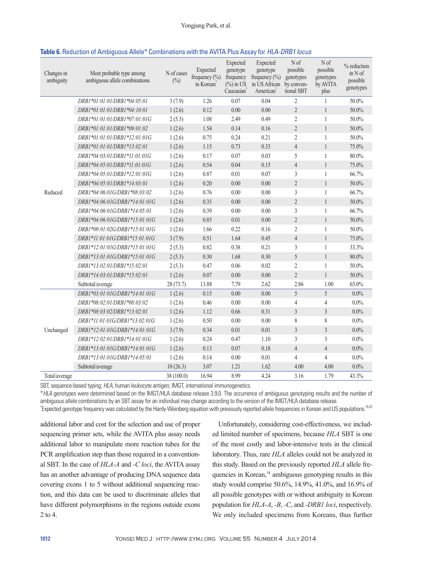| Table 6. Reduction of Ambiguous Allele* Combinations with the AVITA Plus Assay for <i>HLA-DRB1 locus</i> |  |  |
|----------------------------------------------------------------------------------------------------------|--|--|
|----------------------------------------------------------------------------------------------------------|--|--|

| Changes in<br>ambiguity | Most probable type among<br>ambiguous allele combinations | N of cases<br>$(\%)$ | Expected<br>frequency (%)<br>in Korean <sup>†</sup> | Expected<br>genotype<br>frequency<br>$(\frac{9}{0})$ in US<br>Caucasian <sup>1</sup> | Expected<br>genotype<br>frequency $(\% )$<br>in US African<br>American <sup>t</sup> | N <sub>of</sub><br>possible<br>genotypes<br>by conven-<br>tional SBT | N of<br>possible<br>genotypes<br>by AVITA<br>plus | % reduction<br>$in N$ of<br>possible<br>genotypes |
|-------------------------|-----------------------------------------------------------|----------------------|-----------------------------------------------------|--------------------------------------------------------------------------------------|-------------------------------------------------------------------------------------|----------------------------------------------------------------------|---------------------------------------------------|---------------------------------------------------|
|                         | DRB1*01:01:01/DRB1*04:05:01                               | 3(7.9)               | 1.26                                                | 0.07                                                                                 | 0.04                                                                                | $\overline{2}$                                                       | 1                                                 | 50.0%                                             |
|                         | DRB1*01:01:01/DRB1*04:10:01                               | 1(2.6)               | 0.12                                                | 0.00                                                                                 | 0.00                                                                                | $\overline{2}$                                                       | $\mathbf{1}$                                      | 50.0%                                             |
|                         | DRB1*01:01:01/DRB1*07:01:01G                              | 2(5.3)               | 1.08                                                | 2.49                                                                                 | 0.49                                                                                | $\overline{2}$                                                       | $\mathbf{1}$                                      | 50.0%                                             |
|                         | DRB1*01:01:01/DRB1*09:01:02                               | 1(2.6)               | 1.54                                                | 0.14                                                                                 | 0.16                                                                                | $\overline{2}$                                                       | $\mathbf{1}$                                      | 50.0%                                             |
|                         | DRB1*01:01:01/DRB1*12:01:01G                              | 1(2.6)               | 0.75                                                | 0.24                                                                                 | 0.21                                                                                | $\overline{2}$                                                       | 1                                                 | 50.0%                                             |
|                         | DRB1*01:01:01/DRB1*13:02:01                               | 1(2.6)               | 1.15                                                | 0.73                                                                                 | 0.33                                                                                | $\overline{4}$                                                       | $\mathbf{1}$                                      | 75.0%                                             |
|                         | DRB1*04:03:01/DRB1*11:01:01G                              | 1(2.6)               | 0.17                                                | 0.07                                                                                 | 0.03                                                                                | 5                                                                    | 1                                                 | 80.0%                                             |
|                         | DRB1*04:05:01/DRB1*11:01:01G                              | 1(2.6)               | 0.54                                                | 0.04                                                                                 | 0.15                                                                                | $\overline{4}$                                                       | $\mathbf{1}$                                      | 75.0%                                             |
|                         | DRB1*04:05:01/DRB1*12:01:01G                              | 1(2.6)               | 0.87                                                | 0.01                                                                                 | 0.07                                                                                | $\mathfrak{Z}$                                                       | $\mathbf{1}$                                      | 66.7%                                             |
|                         | DRB1*04:05:01/DRB1*14:03:01                               | 1(2.6)               | 0.20                                                | 0.00                                                                                 | 0.00                                                                                | $\overline{2}$                                                       | 1                                                 | 50.0%                                             |
| Reduced                 | DRB1*04:06:01G/DRB1*08:03:02                              | 1(2.6)               | 0.76                                                | 0.00                                                                                 | 0.00                                                                                | 3                                                                    | 1                                                 | 66.7%                                             |
|                         | DRB1*04:06:01G/DRB1*14:01:01G                             | 1(2.6)               | 0.35                                                | 0.00                                                                                 | 0.00                                                                                | $\overline{2}$                                                       | $\mathbf{1}$                                      | 50.0%                                             |
|                         | DRB1*04:06:01G/DRB1*14:05:01                              | 1(2.6)               | 0.39                                                | 0.00                                                                                 | 0.00                                                                                | 3                                                                    | $\mathbf{1}$                                      | 66.7%                                             |
|                         | DRB1*04:06:01G/DRB1*15:01:01G                             | 1(2.6)               | 0.85                                                | 0.01                                                                                 | 0.00                                                                                | $\overline{2}$                                                       | $\mathbf{1}$                                      | 50.0%                                             |
|                         | DRB1*09:01:02G/DRB1*15:01:01G                             | 1(2.6)               | 1.66                                                | 0.22                                                                                 | 0.16                                                                                | $\overline{2}$                                                       | 1                                                 | 50.0%                                             |
|                         | DRB1*11:01:01G/DRB1*15:01:01G                             | 3(7.9)               | 0.51                                                | 1.64                                                                                 | 0.45                                                                                | $\overline{4}$                                                       | $\mathbf{1}$                                      | 75.0%                                             |
|                         | DRB1*12:01:01G/DRB1*15:01:01G                             | 2(5.3)               | 0.82                                                | 0.38                                                                                 | 0.21                                                                                | 3                                                                    | $\mathbf{1}$                                      | 33.3%                                             |
|                         | DRB1*13:01:01G/DRB1*15:01:01G                             | 2(5.3)               | 0.30                                                | 1.68                                                                                 | 0.30                                                                                | 5                                                                    | $\mathbf{1}$                                      | 80.0%                                             |
|                         | DRB1*13:02:01/DRB1*15:02:01                               | 2(5.3)               | 0.47                                                | 0.06                                                                                 | 0.02                                                                                | $\overline{2}$                                                       | $\mathbf{1}$                                      | 50.0%                                             |
|                         | DRB1*14:03:01/DRB1*15:02:01                               | 1(2.6)               | 0.07                                                | 0.00                                                                                 | 0.00                                                                                | $\overline{2}$                                                       | $\mathbf{1}$                                      | 50.0%                                             |
|                         | Subtotal/average                                          | 28 (73.7)            | 13.88                                               | 7.79                                                                                 | 2.62                                                                                | 2.86                                                                 | 1.00                                              | 65.0%                                             |
|                         | DRB1*03:01:01G/DRB1*14:01:01G                             | 1(2.6)               | 0.15                                                | 0.00                                                                                 | 0.00                                                                                | 5                                                                    | 5                                                 | $0.0\%$                                           |
|                         | DRB1*08:02:01/DRB1*08:03:02                               | 1(2.6)               | 0.46                                                | 0.00                                                                                 | 0.00                                                                                | $\overline{4}$                                                       | 4                                                 | $0.0\%$                                           |
|                         | DRB1*08:03:02/DRB1*13:02:01                               | 1(2.6)               | 1.12                                                | 0.66                                                                                 | 0.31                                                                                | $\mathfrak{Z}$                                                       | $\mathfrak{Z}$                                    | 0.0%                                              |
|                         | DRB1*11:01:01G/DRB1*13:02:01G                             | 1(2.6)               | 0.50                                                | 0.00                                                                                 | 0.00                                                                                | 8                                                                    | 8                                                 | $0.0\%$                                           |
| Unchanged               | DRB1*12:01:01G/DRB1*14:01:01G                             | 3(7.9)               | 0.34                                                | 0.01                                                                                 | 0.01                                                                                | 3                                                                    | $\mathfrak{Z}$                                    | 0.0%                                              |
|                         | DRB1*12:02:01/DRB1*14:01:01G                              | 1(2.6)               | 0.24                                                | 0.47                                                                                 | 1.10                                                                                | 3                                                                    | 3                                                 | $0.0\%$                                           |
|                         | DRB1*13:01:01G/DRB1*14:01:01G                             | 1(2.6)               | 0.13                                                | 0.07                                                                                 | 0.18                                                                                | $\overline{4}$                                                       | $\overline{4}$                                    | 0.0%                                              |
|                         | DRB1*13:01:01G/DRB1*14:05:01                              | 1(2.6)               | 0.14                                                | 0.00                                                                                 | 0.01                                                                                | $\overline{4}$                                                       | $\overline{4}$                                    | 0.0%                                              |
|                         | Subtotal/average                                          | 10(26.3)             | 3.07                                                | 1.21                                                                                 | 1.62                                                                                | 4.00                                                                 | 4.00                                              | 0.0%                                              |
| Total/average           |                                                           | 38 (100.0)           | 16.94                                               | 8.99                                                                                 | 4.24                                                                                | 3.16                                                                 | 1.79                                              | 43.3%                                             |

SBT, sequence-based typing; *HLA*, human leukocyte antigen; IMGT, international immunogenetics.

\**HLA* genotypes were determined based on the IMGT/HLA database release 3.9.0. The occurrence of ambiguous genotyping results and the number of ambiguous allele combinations by an SBT assay for an individual may change according to the version of the IMGT/HLA database release.

<sup>†</sup> Expected genotype frequency was calculated by the Hardy-Weinberg equation with previously reported allele frequencies in Korean and US populations.<sup>18,20</sup>

additional labor and cost for the selection and use of proper sequencing primer sets, while the AVITA plus assay needs additional labor to manipulate more reaction tubes for the PCR amplification step than those required in a conventional SBT. In the case of *HLA-A* and *-C loci*, the AVITA assay has an another advantage of producing DNA sequence data covering exons 1 to 5 without additional sequencing reaction, and this data can be used to discriminate alleles that have different polymorphisms in the regions outside exons 2 to 4.

Unfortunately, considering cost-effectiveness, we included limited number of specimens, because *HLA* SBT is one of the most costly and labor-intensive tests in the clinical laboratory. Thus, rare *HLA* alleles could not be analyzed in this study. Based on the previously reported *HLA* allele frequencies in Korean,<sup>18</sup> ambiguous genotyping results in this study would comprise 50.6%, 14.9%, 41.0%, and 16.9% of all possible genotypes with or without ambiguity in Korean population for *HLA-A*, *-B*, *-C*, and *-DRB1 loci*, respectively. We only included specimens from Koreans, thus further